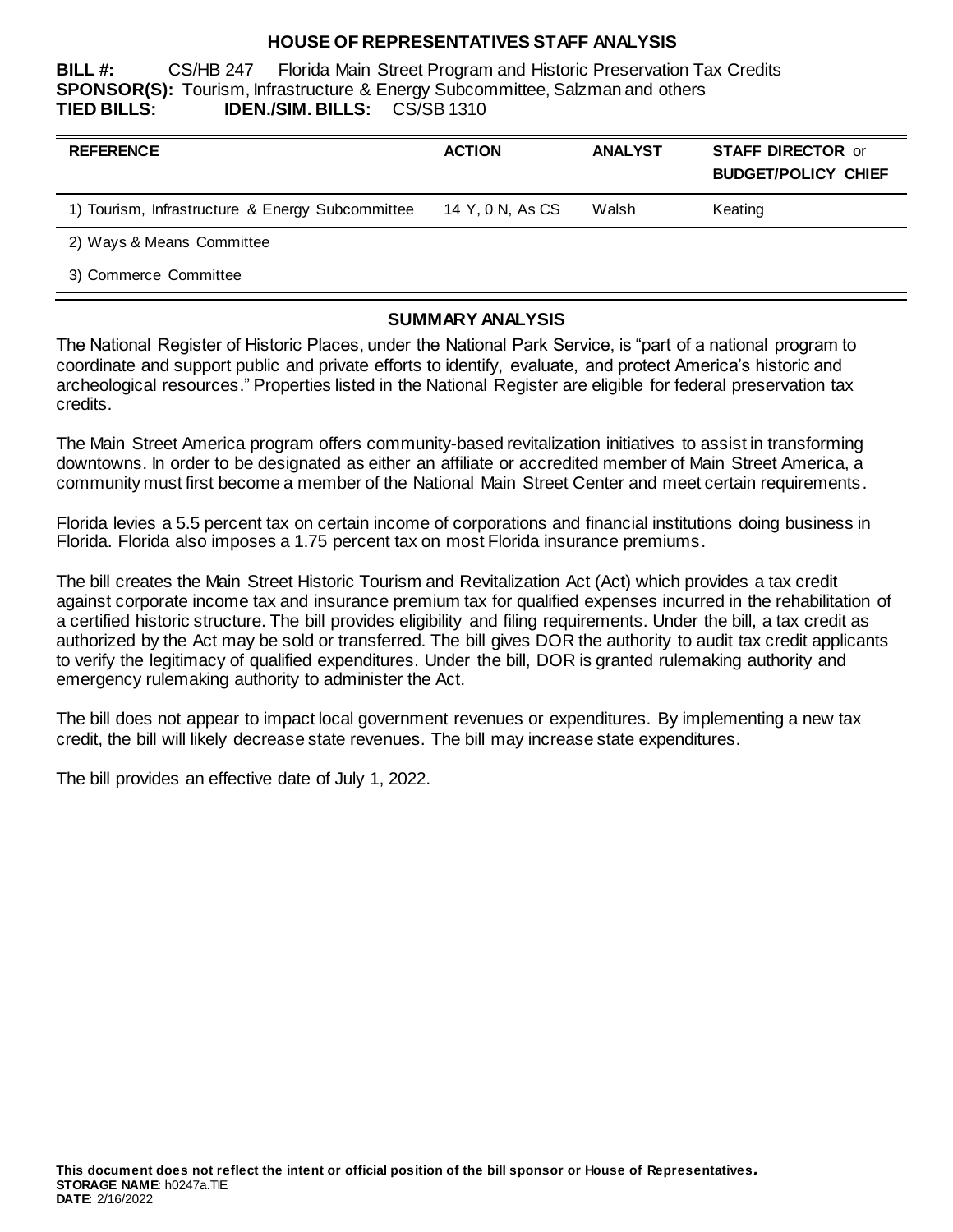#### **HOUSE OF REPRESENTATIVES STAFF ANALYSIS**

**BILL #:** CS/HB 247 Florida Main Street Program and Historic Preservation Tax Credits **SPONSOR(S):** Tourism, Infrastructure & Energy Subcommittee, Salzman and others **TIED BILLS: IDEN./SIM. BILLS:** CS/SB 1310

| <b>REFERENCE</b>                                 | <b>ACTION</b>    | <b>ANALYST</b> | <b>STAFF DIRECTOR or</b><br><b>BUDGET/POLICY CHIEF</b> |
|--------------------------------------------------|------------------|----------------|--------------------------------------------------------|
| 1) Tourism, Infrastructure & Energy Subcommittee | 14 Y, 0 N, As CS | Walsh          | Keating                                                |
| 2) Ways & Means Committee                        |                  |                |                                                        |
| 3) Commerce Committee                            |                  |                |                                                        |

#### **SUMMARY ANALYSIS**

The National Register of Historic Places, under the National Park Service, is "part of a national program to coordinate and support public and private efforts to identify, evaluate, and protect America's historic and archeological resources." Properties listed in the National Register are eligible for federal preservation tax credits.

The Main Street America program offers community-based revitalization initiatives to assist in transforming downtowns. In order to be designated as either an affiliate or accredited member of Main Street America, a community must first become a member of the National Main Street Center and meet certain requirements.

Florida levies a 5.5 percent tax on certain income of corporations and financial institutions doing business in Florida. Florida also imposes a 1.75 percent tax on most Florida insurance premiums.

The bill creates the Main Street Historic Tourism and Revitalization Act (Act) which provides a tax credit against corporate income tax and insurance premium tax for qualified expenses incurred in the rehabilitation of a certified historic structure. The bill provides eligibility and filing requirements. Under the bill, a tax credit as authorized by the Act may be sold or transferred. The bill gives DOR the authority to audit tax credit applicants to verify the legitimacy of qualified expenditures. Under the bill, DOR is granted rulemaking authority and emergency rulemaking authority to administer the Act.

The bill does not appear to impact local government revenues or expenditures. By implementing a new tax credit, the bill will likely decrease state revenues. The bill may increase state expenditures.

The bill provides an effective date of July 1, 2022.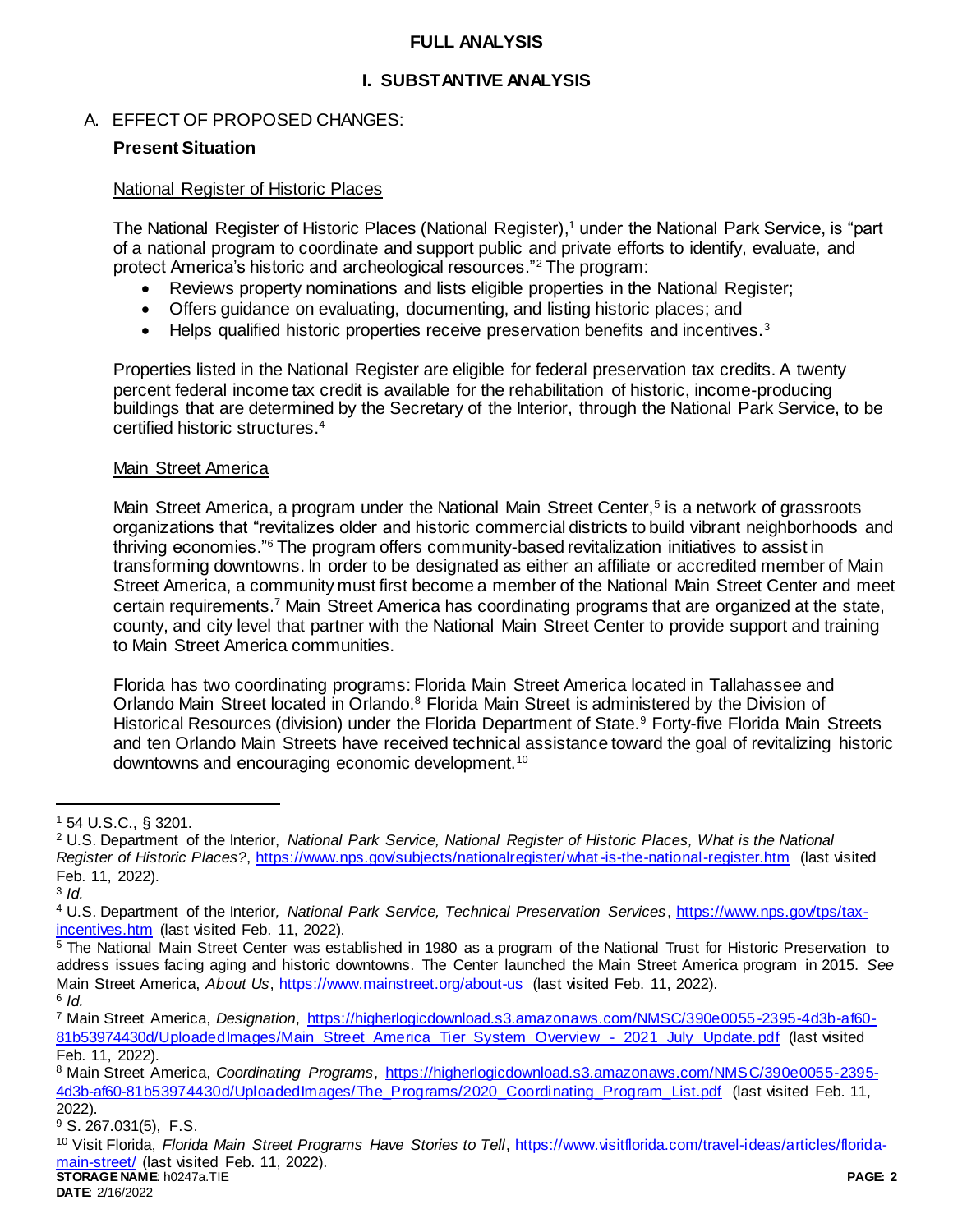### **FULL ANALYSIS**

### **I. SUBSTANTIVE ANALYSIS**

#### A. EFFECT OF PROPOSED CHANGES:

#### **Present Situation**

#### National Register of Historic Places

The National Register of Historic Places (National Register), <sup>1</sup> under the National Park Service, is "part of a national program to coordinate and support public and private efforts to identify, evaluate, and protect America's historic and archeological resources."<sup>2</sup> The program:

- Reviews property nominations and lists eligible properties in the National Register;
- Offers guidance on evaluating, documenting, and listing historic places; and
- $\bullet$  Helps qualified historic properties receive preservation benefits and incentives.<sup>3</sup>

Properties listed in the National Register are eligible for federal preservation tax credits. A twenty percent federal income tax credit is available for the rehabilitation of historic, income-producing buildings that are determined by the Secretary of the Interior, through the National Park Service, to be certified historic structures.<sup>4</sup>

#### Main Street America

Main Street America, a program under the National Main Street Center,<sup>5</sup> is a network of grassroots organizations that "revitalizes older and historic commercial districts to build vibrant neighborhoods and thriving economies."<sup>6</sup> The program offers community-based revitalization initiatives to assist in transforming downtowns. In order to be designated as either an affiliate or accredited member of Main Street America, a community must first become a member of the National Main Street Center and meet certain requirements.<sup>7</sup> Main Street America has coordinating programs that are organized at the state, county, and city level that partner with the National Main Street Center to provide support and training to Main Street America communities.

Florida has two coordinating programs: Florida Main Street America located in Tallahassee and Orlando Main Street located in Orlando.<sup>8</sup> Florida Main Street is administered by the Division of Historical Resources (division) under the Florida Department of State.<sup>9</sup> Forty-five Florida Main Streets and ten Orlando Main Streets have received technical assistance toward the goal of revitalizing historic downtowns and encouraging economic development.<sup>10</sup>

 $\overline{a}$ 

<sup>1</sup> 54 U.S.C., § 3201.

<sup>2</sup> U.S. Department of the Interior, *National Park Service, National Register of Historic Places, What is the National Register of Historic Places?*,<https://www.nps.gov/subjects/nationalregister/what-is-the-national-register.htm> (last visited Feb. 11, 2022).

<sup>3</sup> *Id.* 

<sup>4</sup> U.S. Department of the Interior*, National Park Service, Technical Preservation Services*, [https://www.nps.gov/tps/tax](https://www.nps.gov/tps/tax-incentives.htm)[incentives.htm](https://www.nps.gov/tps/tax-incentives.htm) (last visited Feb. 11, 2022).

<sup>5</sup> The National Main Street Center was established in 1980 as a program of the National Trust for Historic Preservation to address issues facing aging and historic downtowns. The Center launched the Main Street America program in 2015. *See* Main Street America, *About Us*,<https://www.mainstreet.org/about-us> (last visited Feb. 11, 2022). 6 *Id.*

<sup>7</sup> Main Street America, *Designation*, [https://higherlogicdownload.s3.amazonaws.com/NMSC/390e0055-2395-4d3b-af60-](https://higherlogicdownload.s3.amazonaws.com/NMSC/390e0055-2395-4d3b-af60-81b53974430d/UploadedImages/Main_Street_America_Tier_System_Overview_-_2021_July_Update.pdf) [81b53974430d/UploadedImages/Main\\_Street\\_America\\_Tier\\_System\\_Overview\\_-\\_2021\\_July\\_Update.pdf](https://higherlogicdownload.s3.amazonaws.com/NMSC/390e0055-2395-4d3b-af60-81b53974430d/UploadedImages/Main_Street_America_Tier_System_Overview_-_2021_July_Update.pdf) (last visited Feb. 11, 2022).

<sup>8</sup> Main Street America, *Coordinating Programs*, [https://higherlogicdownload.s3.amazonaws.com/NMSC/390e0055-2395-](https://higherlogicdownload.s3.amazonaws.com/NMSC/390e0055-2395-4d3b-af60-81b53974430d/UploadedImages/The_Programs/2020_Coordinating_Program_List.pdf) [4d3b-af60-81b53974430d/UploadedImages/The\\_Programs/2020\\_Coordinating\\_Program\\_List.pdf](https://higherlogicdownload.s3.amazonaws.com/NMSC/390e0055-2395-4d3b-af60-81b53974430d/UploadedImages/The_Programs/2020_Coordinating_Program_List.pdf) (last visited Feb. 11, 2022).

<sup>9</sup> S. 267.031(5), F.S.

**STORAGE NAME**: h0247a.TIE **PAGE: 2** <sup>10</sup> Visit Florida, *Florida Main Street Programs Have Stories to Tell*, [https://www.visitflorida.com/travel-ideas/articles/florida](https://www.visitflorida.com/travel-ideas/articles/florida-main-street/)[main-street/](https://www.visitflorida.com/travel-ideas/articles/florida-main-street/) (last visited Feb. 11, 2022).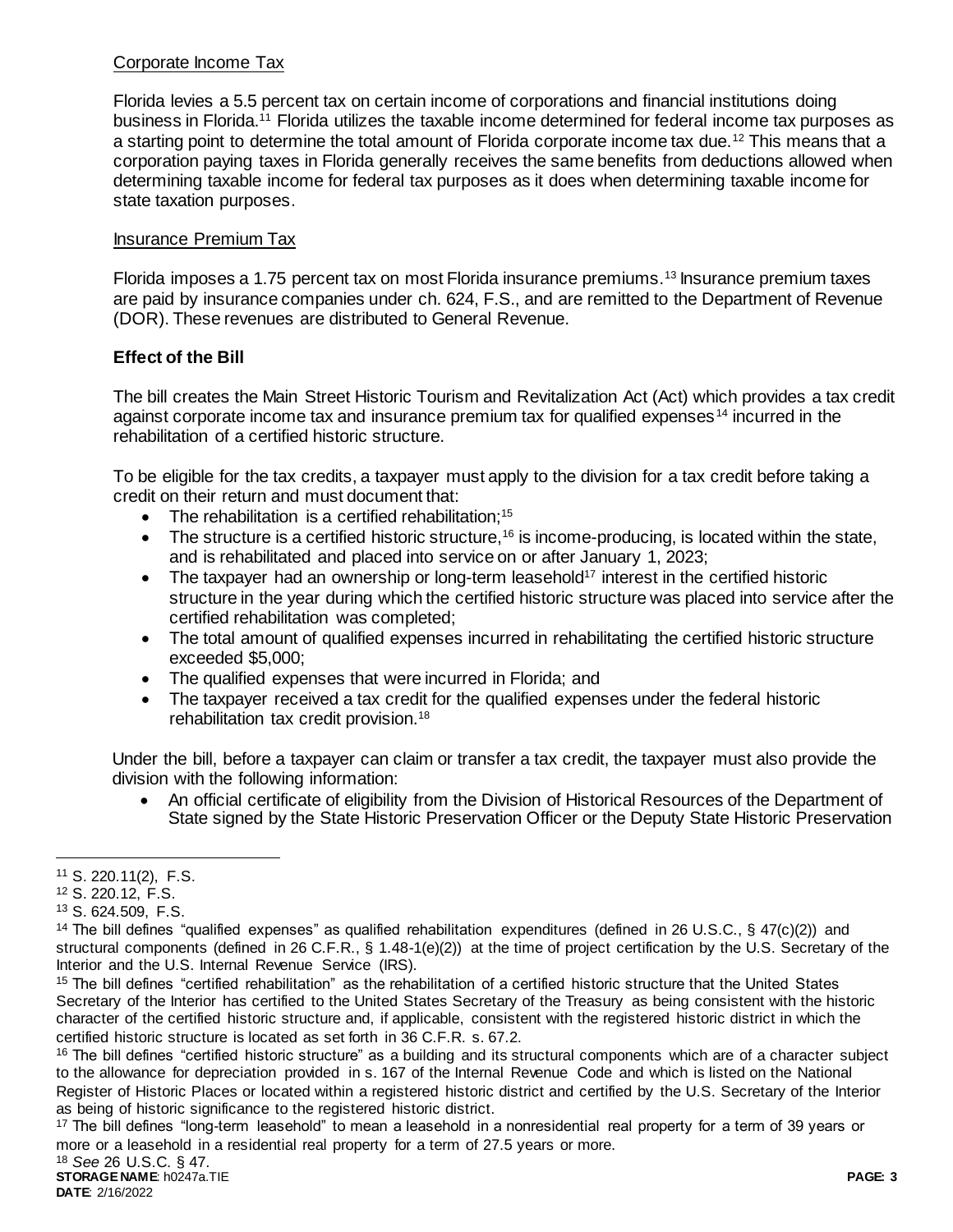## Corporate Income Tax

Florida levies a 5.5 percent tax on certain income of corporations and financial institutions doing business in Florida.<sup>11</sup> Florida utilizes the taxable income determined for federal income tax purposes as a starting point to determine the total amount of Florida corporate income tax due.<sup>12</sup> This means that a corporation paying taxes in Florida generally receives the same benefits from deductions allowed when determining taxable income for federal tax purposes as it does when determining taxable income for state taxation purposes.

### Insurance Premium Tax

Florida imposes a 1.75 percent tax on most Florida insurance premiums.<sup>13</sup> Insurance premium taxes are paid by insurance companies under ch. 624, F.S., and are remitted to the Department of Revenue (DOR). These revenues are distributed to General Revenue.

### **Effect of the Bill**

The bill creates the Main Street Historic Tourism and Revitalization Act (Act) which provides a tax credit against corporate income tax and insurance premium tax for qualified expenses <sup>14</sup> incurred in the rehabilitation of a certified historic structure.

To be eligible for the tax credits, a taxpayer must apply to the division for a tax credit before taking a credit on their return and must document that:

- The rehabilitation is a certified rehabilitation:<sup>15</sup>
- $\bullet$  The structure is a certified historic structure,<sup>16</sup> is income-producing, is located within the state, and is rehabilitated and placed into service on or after January 1, 2023;
- $\bullet$  The taxpayer had an ownership or long-term leasehold<sup>17</sup> interest in the certified historic structure in the year during which the certified historic structure was placed into service after the certified rehabilitation was completed;
- The total amount of qualified expenses incurred in rehabilitating the certified historic structure exceeded \$5,000;
- The qualified expenses that were incurred in Florida; and
- The taxpayer received a tax credit for the qualified expenses under the federal historic rehabilitation tax credit provision.<sup>18</sup>

Under the bill, before a taxpayer can claim or transfer a tax credit, the taxpayer must also provide the division with the following information:

 An official certificate of eligibility from the Division of Historical Resources of the Department of State signed by the State Historic Preservation Officer or the Deputy State Historic Preservation

 $\overline{a}$ 

<sup>17</sup> The bill defines "long-term leasehold" to mean a leasehold in a nonresidential real property for a term of 39 years or more or a leasehold in a residential real property for a term of 27.5 years or more.

<sup>11</sup> S. 220.11(2), F.S.

<sup>12</sup> S. 220.12, F.S.

<sup>13</sup> S. 624.509, F.S.

<sup>&</sup>lt;sup>14</sup> The bill defines "qualified expenses" as qualified rehabilitation expenditures (defined in 26 U.S.C., § 47(c)(2)) and structural components (defined in 26 C.F.R., § 1.48-1(e)(2)) at the time of project certification by the U.S. Secretary of the Interior and the U.S. Internal Revenue Service (IRS).

<sup>15</sup> The bill defines "certified rehabilitation" as the rehabilitation of a certified historic structure that the United States Secretary of the Interior has certified to the United States Secretary of the Treasury as being consistent with the historic character of the certified historic structure and, if applicable, consistent with the registered historic district in which the certified historic structure is located as set forth in 36 C.F.R. s. 67.2.

<sup>&</sup>lt;sup>16</sup> The bill defines "certified historic structure" as a building and its structural components which are of a character subject to the allowance for depreciation provided in s. 167 of the Internal Revenue Code and which is listed on the National Register of Historic Places or located within a registered historic district and certified by the U.S. Secretary of the Interior as being of historic significance to the registered historic district.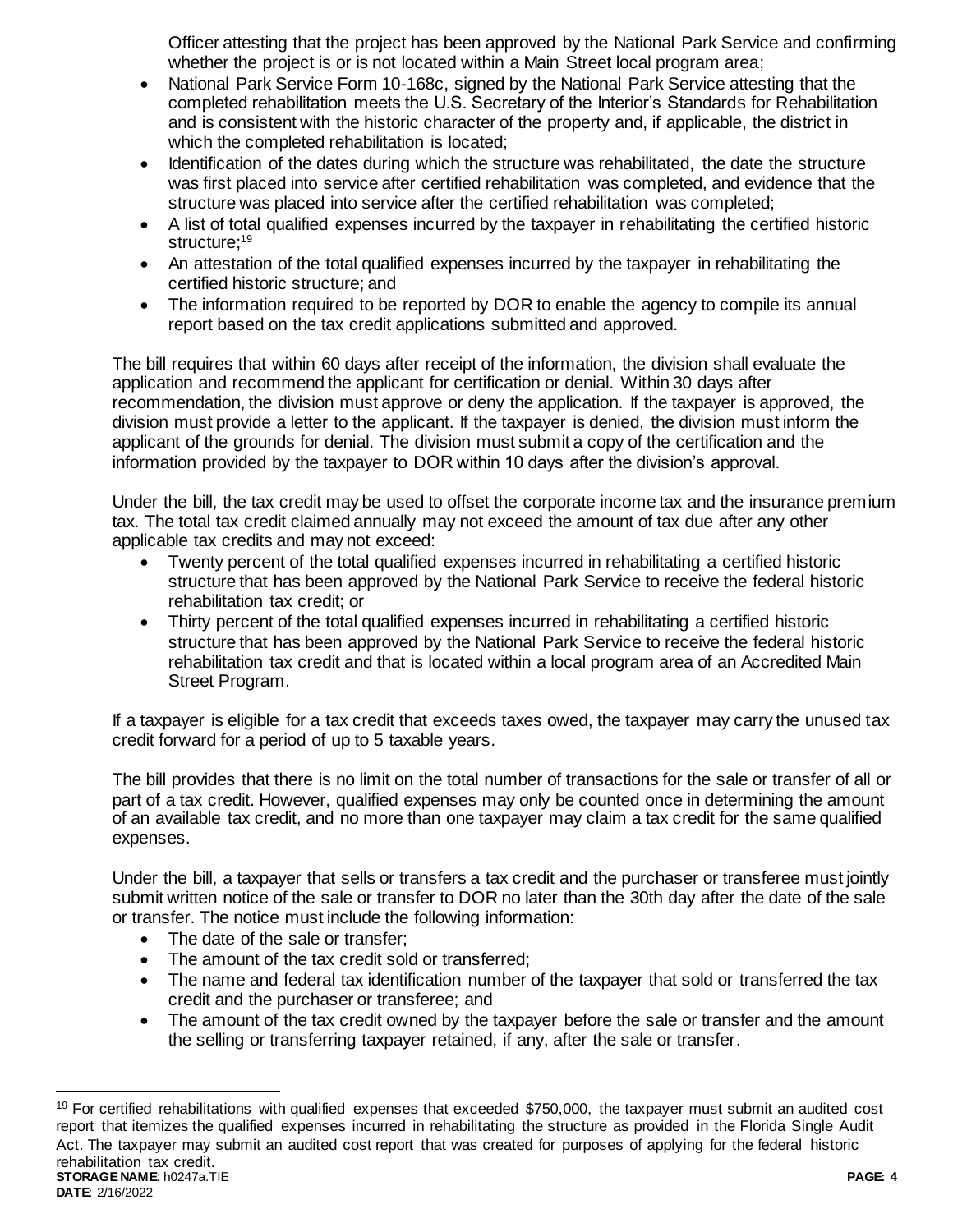Officer attesting that the project has been approved by the National Park Service and confirming whether the project is or is not located within a Main Street local program area;

- National Park Service Form 10-168c, signed by the National Park Service attesting that the completed rehabilitation meets the U.S. Secretary of the Interior's Standards for Rehabilitation and is consistent with the historic character of the property and, if applicable, the district in which the completed rehabilitation is located;
- Identification of the dates during which the structure was rehabilitated, the date the structure was first placed into service after certified rehabilitation was completed, and evidence that the structure was placed into service after the certified rehabilitation was completed;
- A list of total qualified expenses incurred by the taxpayer in rehabilitating the certified historic structure; 19
- An attestation of the total qualified expenses incurred by the taxpayer in rehabilitating the certified historic structure; and
- The information required to be reported by DOR to enable the agency to compile its annual report based on the tax credit applications submitted and approved.

The bill requires that within 60 days after receipt of the information, the division shall evaluate the application and recommend the applicant for certification or denial. Within 30 days after recommendation, the division must approve or deny the application. If the taxpayer is approved, the division must provide a letter to the applicant. If the taxpayer is denied, the division must inform the applicant of the grounds for denial. The division must submit a copy of the certification and the information provided by the taxpayer to DOR within 10 days after the division's approval.

Under the bill, the tax credit may be used to offset the corporate income tax and the insurance premium tax. The total tax credit claimed annually may not exceed the amount of tax due after any other applicable tax credits and may not exceed:

- Twenty percent of the total qualified expenses incurred in rehabilitating a certified historic structure that has been approved by the National Park Service to receive the federal historic rehabilitation tax credit; or
- Thirty percent of the total qualified expenses incurred in rehabilitating a certified historic structure that has been approved by the National Park Service to receive the federal historic rehabilitation tax credit and that is located within a local program area of an Accredited Main Street Program.

If a taxpayer is eligible for a tax credit that exceeds taxes owed, the taxpayer may carry the unused tax credit forward for a period of up to 5 taxable years.

The bill provides that there is no limit on the total number of transactions for the sale or transfer of all or part of a tax credit. However, qualified expenses may only be counted once in determining the amount of an available tax credit, and no more than one taxpayer may claim a tax credit for the same qualified expenses.

Under the bill, a taxpayer that sells or transfers a tax credit and the purchaser or transferee must jointly submit written notice of the sale or transfer to DOR no later than the 30th day after the date of the sale or transfer. The notice must include the following information:

• The date of the sale or transfer:

l

- The amount of the tax credit sold or transferred:
- The name and federal tax identification number of the taxpayer that sold or transferred the tax credit and the purchaser or transferee; and
- The amount of the tax credit owned by the taxpayer before the sale or transfer and the amount the selling or transferring taxpayer retained, if any, after the sale or transfer.

**STORAGE NAME**: h0247a.TIE **PAGE: 4 DATE**: 2/16/2022  $19$  For certified rehabilitations with qualified expenses that exceeded \$750,000, the taxpayer must submit an audited cost report that itemizes the qualified expenses incurred in rehabilitating the structure as provided in the Florida Single Audit Act. The taxpayer may submit an audited cost report that was created for purposes of applying for the federal historic rehabilitation tax credit.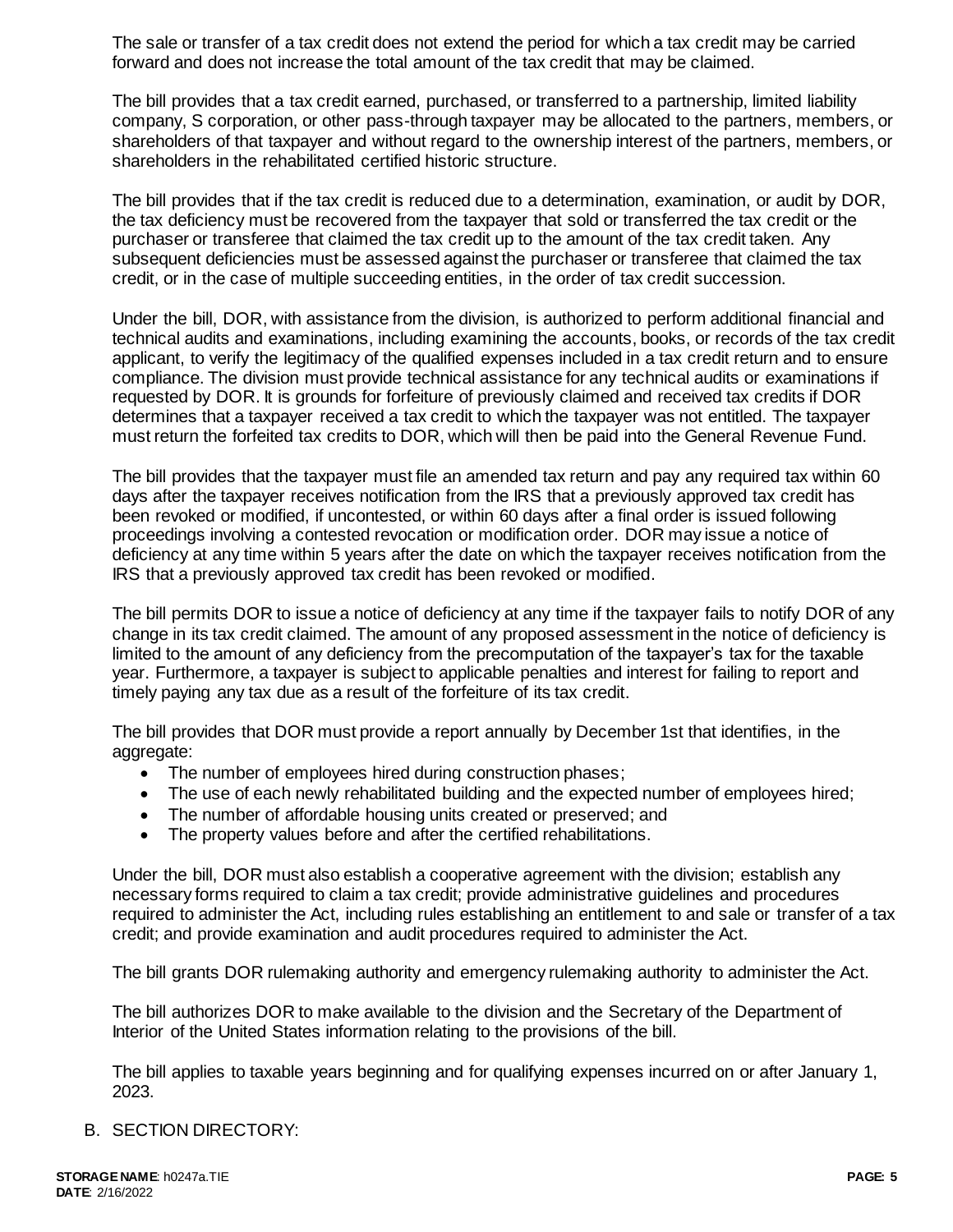The sale or transfer of a tax credit does not extend the period for which a tax credit may be carried forward and does not increase the total amount of the tax credit that may be claimed.

The bill provides that a tax credit earned, purchased, or transferred to a partnership, limited liability company, S corporation, or other pass-through taxpayer may be allocated to the partners, members, or shareholders of that taxpayer and without regard to the ownership interest of the partners, members, or shareholders in the rehabilitated certified historic structure.

The bill provides that if the tax credit is reduced due to a determination, examination, or audit by DOR, the tax deficiency must be recovered from the taxpayer that sold or transferred the tax credit or the purchaser or transferee that claimed the tax credit up to the amount of the tax credit taken. Any subsequent deficiencies must be assessed against the purchaser or transferee that claimed the tax credit, or in the case of multiple succeeding entities, in the order of tax credit succession.

Under the bill, DOR, with assistance from the division, is authorized to perform additional financial and technical audits and examinations, including examining the accounts, books, or records of the tax credit applicant, to verify the legitimacy of the qualified expenses included in a tax credit return and to ensure compliance. The division must provide technical assistance for any technical audits or examinations if requested by DOR. It is grounds for forfeiture of previously claimed and received tax credits if DOR determines that a taxpayer received a tax credit to which the taxpayer was not entitled. The taxpayer must return the forfeited tax credits to DOR, which will then be paid into the General Revenue Fund.

The bill provides that the taxpayer must file an amended tax return and pay any required tax within 60 days after the taxpayer receives notification from the IRS that a previously approved tax credit has been revoked or modified, if uncontested, or within 60 days after a final order is issued following proceedings involving a contested revocation or modification order. DOR may issue a notice of deficiency at any time within 5 years after the date on which the taxpayer receives notification from the IRS that a previously approved tax credit has been revoked or modified.

The bill permits DOR to issue a notice of deficiency at any time if the taxpayer fails to notify DOR of any change in its tax credit claimed. The amount of any proposed assessment in the notice of deficiency is limited to the amount of any deficiency from the precomputation of the taxpayer's tax for the taxable year. Furthermore, a taxpayer is subject to applicable penalties and interest for failing to report and timely paying any tax due as a result of the forfeiture of its tax credit.

The bill provides that DOR must provide a report annually by December 1st that identifies, in the aggregate:

- The number of employees hired during construction phases;
- The use of each newly rehabilitated building and the expected number of employees hired;
- The number of affordable housing units created or preserved; and
- The property values before and after the certified rehabilitations.

Under the bill, DOR must also establish a cooperative agreement with the division; establish any necessary forms required to claim a tax credit; provide administrative guidelines and procedures required to administer the Act, including rules establishing an entitlement to and sale or transfer of a tax credit; and provide examination and audit procedures required to administer the Act.

The bill grants DOR rulemaking authority and emergency rulemaking authority to administer the Act.

The bill authorizes DOR to make available to the division and the Secretary of the Department of Interior of the United States information relating to the provisions of the bill.

The bill applies to taxable years beginning and for qualifying expenses incurred on or after January 1, 2023.

B. SECTION DIRECTORY: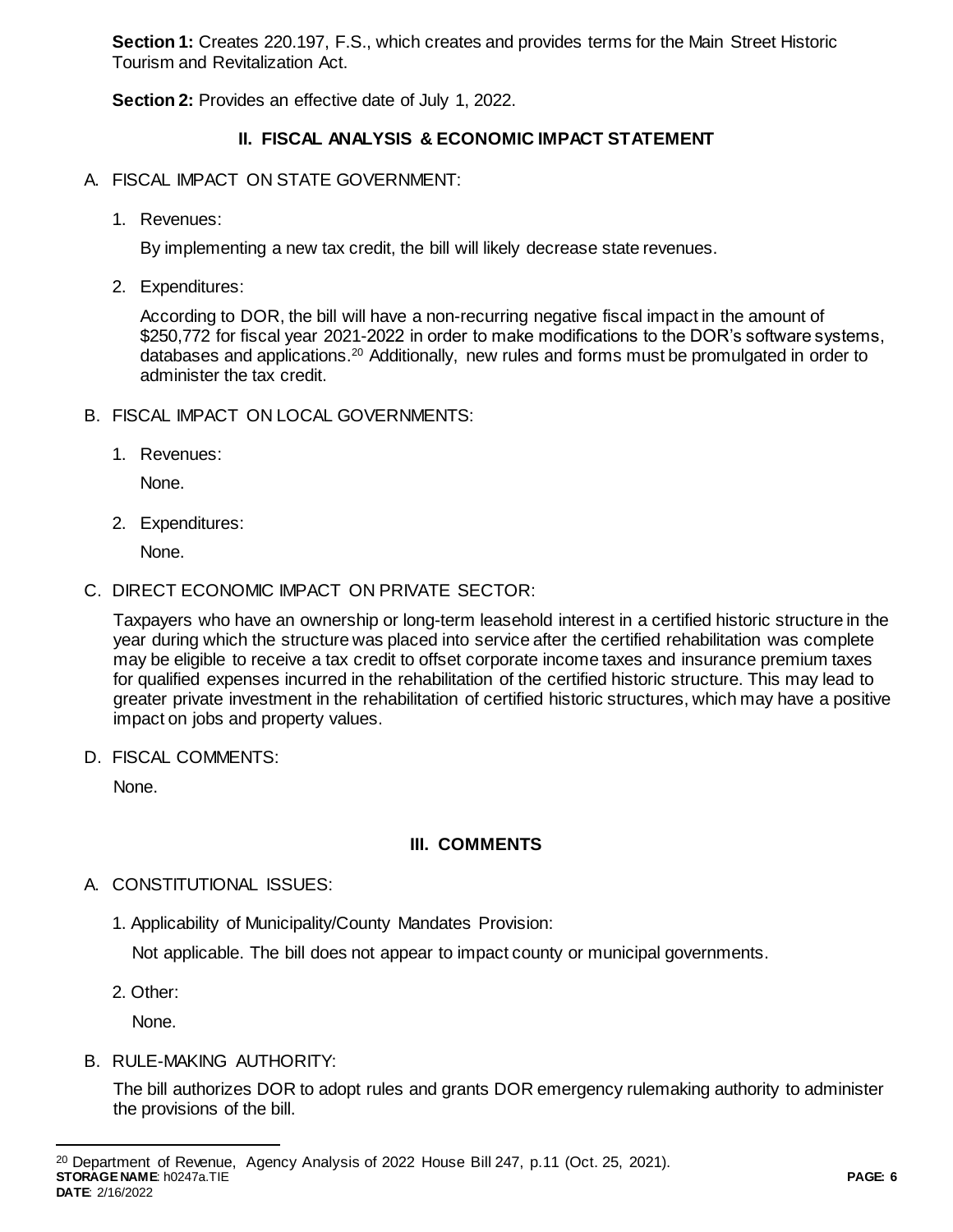**Section 1:** Creates 220.197, F.S., which creates and provides terms for the Main Street Historic Tourism and Revitalization Act.

**Section 2:** Provides an effective date of July 1, 2022.

# **II. FISCAL ANALYSIS & ECONOMIC IMPACT STATEMENT**

- A. FISCAL IMPACT ON STATE GOVERNMENT:
	- 1. Revenues:

By implementing a new tax credit, the bill will likely decrease state revenues.

2. Expenditures:

According to DOR, the bill will have a non-recurring negative fiscal impact in the amount of \$250,772 for fiscal year 2021-2022 in order to make modifications to the DOR's software systems, databases and applications.<sup>20</sup> Additionally, new rules and forms must be promulgated in order to administer the tax credit.

- B. FISCAL IMPACT ON LOCAL GOVERNMENTS:
	- 1. Revenues:

None.

2. Expenditures:

None.

C. DIRECT ECONOMIC IMPACT ON PRIVATE SECTOR:

Taxpayers who have an ownership or long-term leasehold interest in a certified historic structure in the year during which the structure was placed into service after the certified rehabilitation was complete may be eligible to receive a tax credit to offset corporate income taxes and insurance premium taxes for qualified expenses incurred in the rehabilitation of the certified historic structure. This may lead to greater private investment in the rehabilitation of certified historic structures, which may have a positive impact on jobs and property values.

D. FISCAL COMMENTS:

None.

## **III. COMMENTS**

## A. CONSTITUTIONAL ISSUES:

1. Applicability of Municipality/County Mandates Provision:

Not applicable. The bill does not appear to impact county or municipal governments.

2. Other:

 $\overline{a}$ 

None.

B. RULE-MAKING AUTHORITY:

The bill authorizes DOR to adopt rules and grants DOR emergency rulemaking authority to administer the provisions of the bill.

**STORAGE NAME**: h0247a.TIE **PAGE: 6 DATE**: 2/16/2022 <sup>20</sup> Department of Revenue, Agency Analysis of 2022 House Bill 247, p.11 (Oct. 25, 2021).